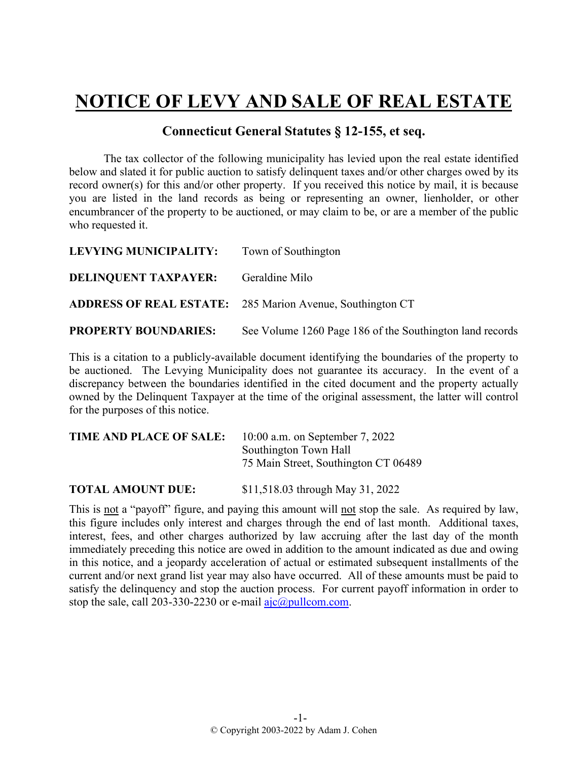## **NOTICE OF LEVY AND SALE OF REAL ESTATE**

## **Connecticut General Statutes § 12-155, et seq.**

The tax collector of the following municipality has levied upon the real estate identified below and slated it for public auction to satisfy delinquent taxes and/or other charges owed by its record owner(s) for this and/or other property. If you received this notice by mail, it is because you are listed in the land records as being or representing an owner, lienholder, or other encumbrancer of the property to be auctioned, or may claim to be, or are a member of the public who requested it.

| LEVYING MUNICIPALITY:       | Town of Southington                                              |
|-----------------------------|------------------------------------------------------------------|
| <b>DELINQUENT TAXPAYER:</b> | Geraldine Milo                                                   |
|                             | <b>ADDRESS OF REAL ESTATE:</b> 285 Marion Avenue, Southington CT |
| <b>PROPERTY BOUNDARIES:</b> | See Volume 1260 Page 186 of the Southington land records         |

This is a citation to a publicly-available document identifying the boundaries of the property to be auctioned. The Levying Municipality does not guarantee its accuracy. In the event of a discrepancy between the boundaries identified in the cited document and the property actually owned by the Delinquent Taxpayer at the time of the original assessment, the latter will control for the purposes of this notice.

| TIME AND PLACE OF SALE: | $10:00$ a.m. on September 7, 2022    |
|-------------------------|--------------------------------------|
|                         | Southington Town Hall                |
|                         | 75 Main Street, Southington CT 06489 |
|                         |                                      |

**TOTAL AMOUNT DUE:** \$11,518.03 through May 31, 2022

This is not a "payoff" figure, and paying this amount will not stop the sale. As required by law, this figure includes only interest and charges through the end of last month. Additional taxes, interest, fees, and other charges authorized by law accruing after the last day of the month immediately preceding this notice are owed in addition to the amount indicated as due and owing in this notice, and a jeopardy acceleration of actual or estimated subsequent installments of the current and/or next grand list year may also have occurred. All of these amounts must be paid to satisfy the delinquency and stop the auction process. For current payoff information in order to stop the sale, call 203-330-2230 or e-mail  $a$ jc $@p$ ullcom.com.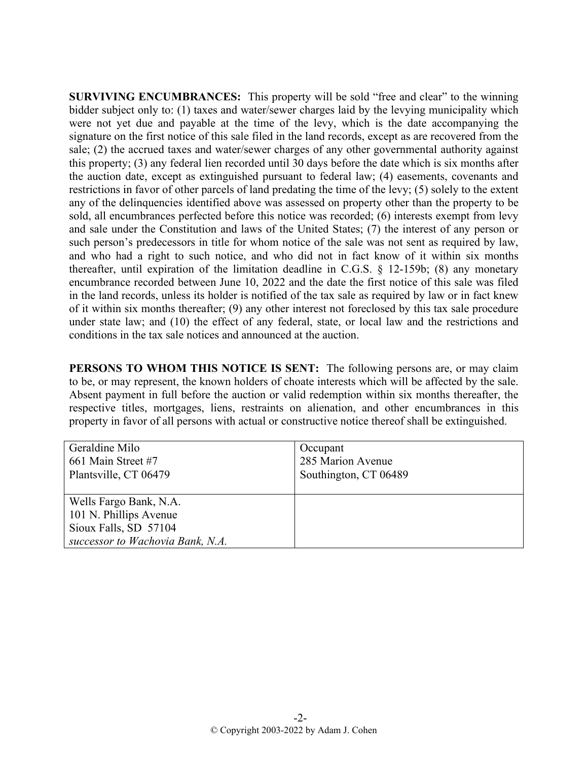**SURVIVING ENCUMBRANCES:** This property will be sold "free and clear" to the winning bidder subject only to: (1) taxes and water/sewer charges laid by the levying municipality which were not yet due and payable at the time of the levy, which is the date accompanying the signature on the first notice of this sale filed in the land records, except as are recovered from the sale; (2) the accrued taxes and water/sewer charges of any other governmental authority against this property; (3) any federal lien recorded until 30 days before the date which is six months after the auction date, except as extinguished pursuant to federal law; (4) easements, covenants and restrictions in favor of other parcels of land predating the time of the levy; (5) solely to the extent any of the delinquencies identified above was assessed on property other than the property to be sold, all encumbrances perfected before this notice was recorded; (6) interests exempt from levy and sale under the Constitution and laws of the United States; (7) the interest of any person or such person's predecessors in title for whom notice of the sale was not sent as required by law, and who had a right to such notice, and who did not in fact know of it within six months thereafter, until expiration of the limitation deadline in C.G.S. § 12-159b; (8) any monetary encumbrance recorded between June 10, 2022 and the date the first notice of this sale was filed in the land records, unless its holder is notified of the tax sale as required by law or in fact knew of it within six months thereafter; (9) any other interest not foreclosed by this tax sale procedure under state law; and (10) the effect of any federal, state, or local law and the restrictions and conditions in the tax sale notices and announced at the auction.

**PERSONS TO WHOM THIS NOTICE IS SENT:** The following persons are, or may claim to be, or may represent, the known holders of choate interests which will be affected by the sale. Absent payment in full before the auction or valid redemption within six months thereafter, the respective titles, mortgages, liens, restraints on alienation, and other encumbrances in this property in favor of all persons with actual or constructive notice thereof shall be extinguished.

| Geraldine Milo<br>661 Main Street #7<br>Plantsville, CT 06479 | Occupant<br>285 Marion Avenue<br>Southington, CT 06489 |
|---------------------------------------------------------------|--------------------------------------------------------|
| Wells Fargo Bank, N.A.<br>101 N. Phillips Avenue              |                                                        |
| Sioux Falls, SD 57104                                         |                                                        |
| successor to Wachovia Bank, N.A.                              |                                                        |